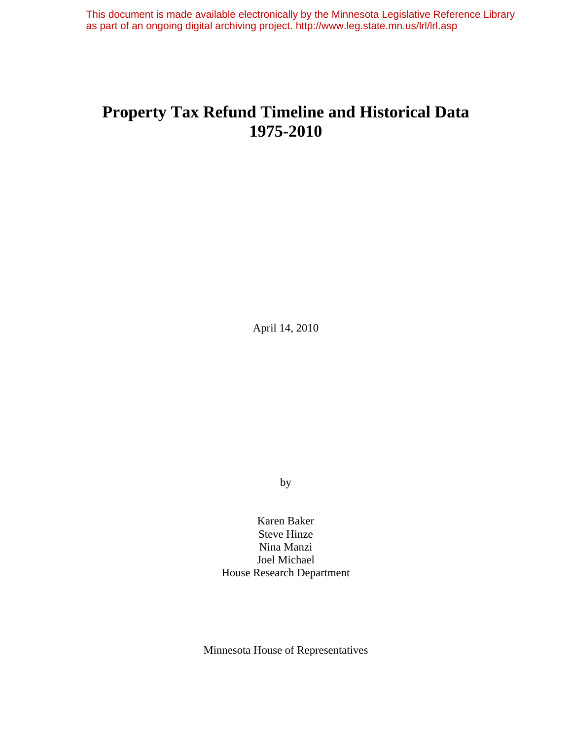This document is made available electronically by the Minnesota Legislative Reference Library as part of an ongoing digital archiving project. http://www.leg.state.mn.us/lrl/lrl.asp

# **Property Tax Refund Timeline and Historical Data 1975-2010**

April 14, 2010

by

Karen Baker Steve Hinze Nina Manzi Joel Michael House Research Department

Minnesota House of Representatives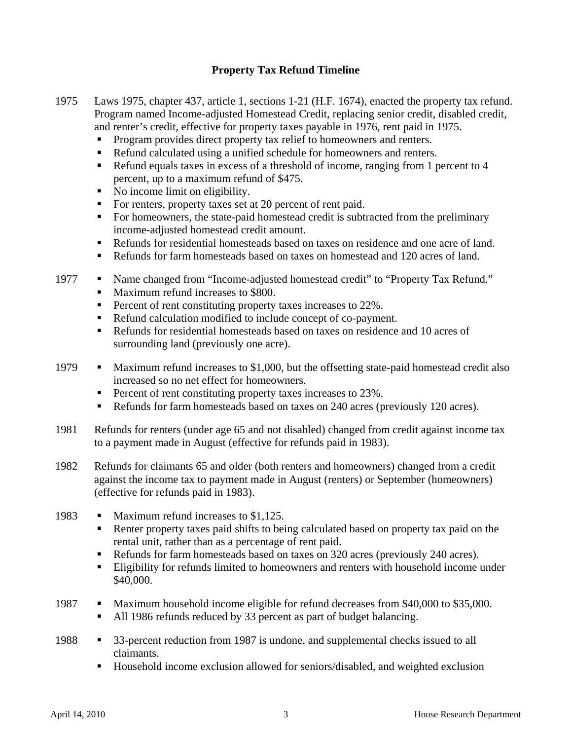## **Property Tax Refund Timeline**

- 1975 Laws 1975, chapter 437, article 1, sections 1-21 (H.F. 1674), enacted the property tax refund. Program named Income-adjusted Homestead Credit, replacing senior credit, disabled credit, and renter's credit, effective for property taxes payable in 1976, rent paid in 1975.
	- Program provides direct property tax relief to homeowners and renters.
	- Refund calculated using a unified schedule for homeowners and renters.
	- Refund equals taxes in excess of a threshold of income, ranging from 1 percent to 4 percent, up to a maximum refund of \$475.
	- No income limit on eligibility.
	- For renters, property taxes set at 20 percent of rent paid.
	- For homeowners, the state-paid homestead credit is subtracted from the preliminary income-adjusted homestead credit amount.
	- Refunds for residential homesteads based on taxes on residence and one acre of land.
	- Refunds for farm homesteads based on taxes on homestead and 120 acres of land.
- 1977 Name changed from "Income-adjusted homestead credit" to "Property Tax Refund." Maximum refund increases to \$800.
	- **Percent of rent constituting property taxes increases to 22%.**
	- Refund calculation modified to include concept of co-payment.
	- Refunds for residential homesteads based on taxes on residence and 10 acres of surrounding land (previously one acre).
- 1979 Maximum refund increases to \$1,000, but the offsetting state-paid homestead credit also increased so no net effect for homeowners.
	- **Percent of rent constituting property taxes increases to 23%.**
	- Refunds for farm homesteads based on taxes on 240 acres (previously 120 acres).
- 1981 Refunds for renters (under age 65 and not disabled) changed from credit against income tax to a payment made in August (effective for refunds paid in 1983).
- 1982 Refunds for claimants 65 and older (both renters and homeowners) changed from a credit against the income tax to payment made in August (renters) or September (homeowners) (effective for refunds paid in 1983).
- 1983 Maximum refund increases to \$1,125.
	- Renter property taxes paid shifts to being calculated based on property tax paid on the rental unit, rather than as a percentage of rent paid.
	- Refunds for farm homesteads based on taxes on 320 acres (previously 240 acres).
	- **Eligibility for refunds limited to homeowners and renters with household income under** \$40,000.
- 1987 Maximum household income eligible for refund decreases from \$40,000 to \$35,000.
	- All 1986 refunds reduced by 33 percent as part of budget balancing.
- 1988 **33-percent reduction from 1987 is undone, and supplemental checks issued to all** claimants.
	- Household income exclusion allowed for seniors/disabled, and weighted exclusion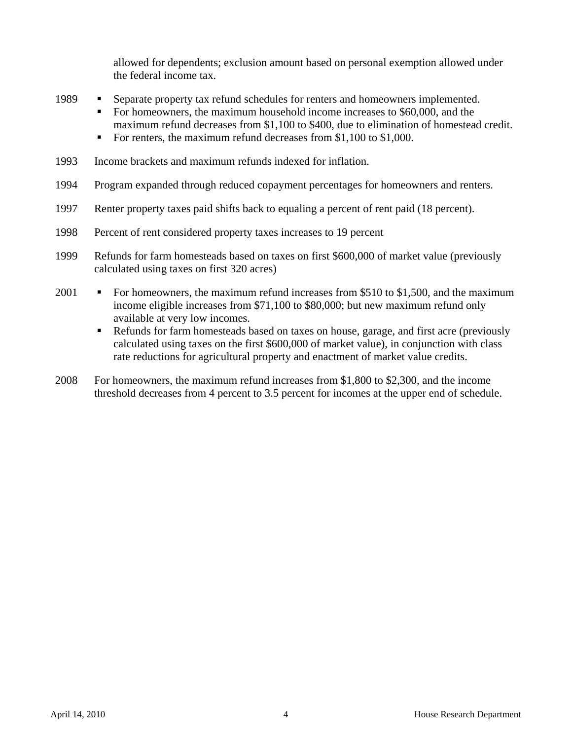allowed for dependents; exclusion amount based on personal exemption allowed under the federal income tax.

- 1989 Separate property tax refund schedules for renters and homeowners implemented.
	- For homeowners, the maximum household income increases to \$60,000, and the maximum refund decreases from \$1,100 to \$400, due to elimination of homestead credit.
	- For renters, the maximum refund decreases from  $$1,100$  to  $$1,000$ .
- 1993 Income brackets and maximum refunds indexed for inflation.
- 1994 Program expanded through reduced copayment percentages for homeowners and renters.
- 1997 Renter property taxes paid shifts back to equaling a percent of rent paid (18 percent).
- 1998 Percent of rent considered property taxes increases to 19 percent
- 1999 Refunds for farm homesteads based on taxes on first \$600,000 of market value (previously calculated using taxes on first 320 acres)
- 2001 For homeowners, the maximum refund increases from \$510 to \$1,500, and the maximum income eligible increases from \$71,100 to \$80,000; but new maximum refund only available at very low incomes.
	- **Refunds for farm homesteads based on taxes on house, garage, and first acre (previously** calculated using taxes on the first \$600,000 of market value), in conjunction with class rate reductions for agricultural property and enactment of market value credits.
- 2008 For homeowners, the maximum refund increases from \$1,800 to \$2,300, and the income threshold decreases from 4 percent to 3.5 percent for incomes at the upper end of schedule.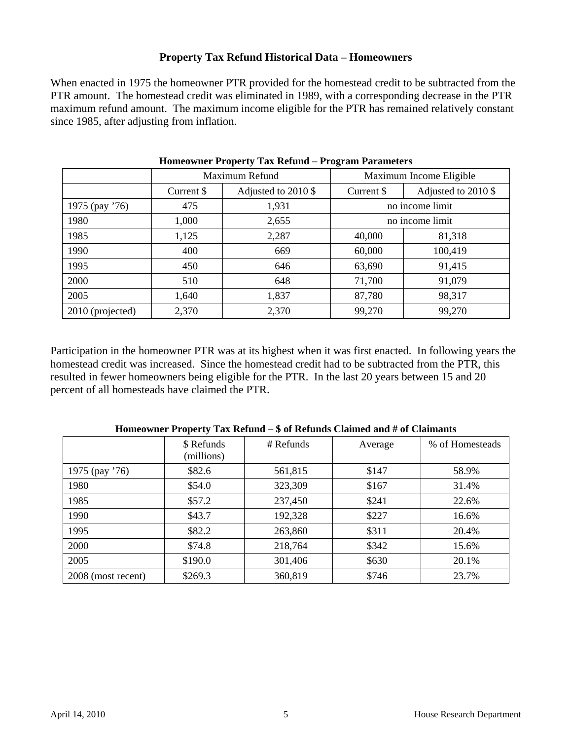### **Property Tax Refund Historical Data – Homeowners**

When enacted in 1975 the homeowner PTR provided for the homestead credit to be subtracted from the PTR amount. The homestead credit was eliminated in 1989, with a corresponding decrease in the PTR maximum refund amount. The maximum income eligible for the PTR has remained relatively constant since 1985, after adjusting from inflation.

|                  | Maximum Refund |                       | Maximum Income Eligible |                     |  |
|------------------|----------------|-----------------------|-------------------------|---------------------|--|
|                  | Current \$     | Adjusted to $2010$ \$ | Current \$              | Adjusted to 2010 \$ |  |
| 1975 (pay '76)   | 475            | 1,931                 | no income limit         |                     |  |
| 1980             | 1,000          | 2,655                 | no income limit         |                     |  |
| 1985             | 1,125          | 2,287                 | 40,000                  | 81,318              |  |
| 1990             | 400            | 669                   | 60,000                  | 100,419             |  |
| 1995             | 450            | 646                   | 63,690                  | 91,415              |  |
| 2000             | 510            | 648                   | 71,700                  | 91,079              |  |
| 2005             | 1,640          | 1,837                 | 87,780                  | 98,317              |  |
| 2010 (projected) | 2,370          | 2,370                 | 99,270                  | 99,270              |  |

**Homeowner Property Tax Refund – Program Parameters** 

Participation in the homeowner PTR was at its highest when it was first enacted. In following years the homestead credit was increased. Since the homestead credit had to be subtracted from the PTR, this resulted in fewer homeowners being eligible for the PTR. In the last 20 years between 15 and 20 percent of all homesteads have claimed the PTR.

|                    | \$ Refunds | # Refunds | Average | % of Homesteads |
|--------------------|------------|-----------|---------|-----------------|
|                    | (millions) |           |         |                 |
| 1975 (pay '76)     | \$82.6     | 561,815   | \$147   | 58.9%           |
| 1980               | \$54.0     | 323,309   | \$167   | 31.4%           |
| 1985               | \$57.2     | 237,450   | \$241   | 22.6%           |
| 1990               | \$43.7     | 192,328   | \$227   | 16.6%           |
| 1995               | \$82.2     | 263,860   | \$311   | 20.4%           |
| 2000               | \$74.8     | 218,764   | \$342   | 15.6%           |
| 2005               | \$190.0    | 301,406   | \$630   | 20.1%           |
| 2008 (most recent) | \$269.3    | 360,819   | \$746   | 23.7%           |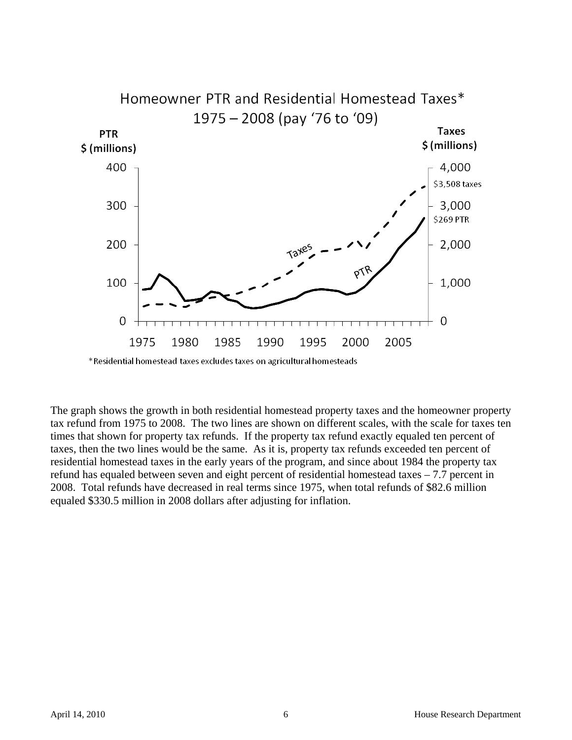

\*Residential homestead taxes excludes taxes on agricultural homesteads

The graph shows the growth in both residential homestead property taxes and the homeowner property tax refund from 1975 to 2008. The two lines are shown on different scales, with the scale for taxes ten times that shown for property tax refunds. If the property tax refund exactly equaled ten percent of taxes, then the two lines would be the same. As it is, property tax refunds exceeded ten percent of residential homestead taxes in the early years of the program, and since about 1984 the property tax refund has equaled between seven and eight percent of residential homestead taxes – 7.7 percent in 2008. Total refunds have decreased in real terms since 1975, when total refunds of \$82.6 million equaled \$330.5 million in 2008 dollars after adjusting for inflation.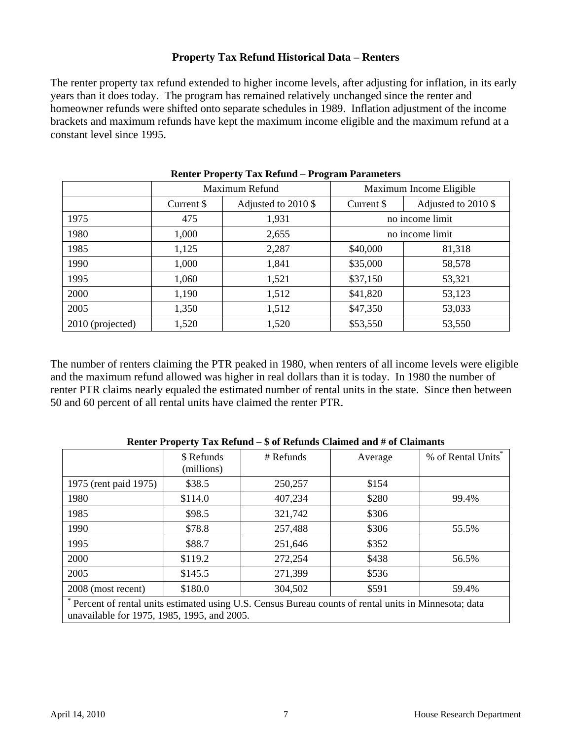### **Property Tax Refund Historical Data – Renters**

The renter property tax refund extended to higher income levels, after adjusting for inflation, in its early years than it does today. The program has remained relatively unchanged since the renter and homeowner refunds were shifted onto separate schedules in 1989. Inflation adjustment of the income brackets and maximum refunds have kept the maximum income eligible and the maximum refund at a constant level since 1995.

| $\frac{1}{2}$<br>220 |                |                       |                         |                     |  |
|----------------------|----------------|-----------------------|-------------------------|---------------------|--|
|                      | Maximum Refund |                       | Maximum Income Eligible |                     |  |
|                      | Current \$     | Adjusted to $2010$ \$ | Current \$              | Adjusted to 2010 \$ |  |
| 1975                 | 475            | 1,931                 | no income limit         |                     |  |
| 1980                 | 1,000          | 2,655                 | no income limit         |                     |  |
| 1985                 | 1,125          | 2,287                 | \$40,000                | 81,318              |  |
| 1990                 | 1,000          | 1,841                 | \$35,000                | 58,578              |  |
| 1995                 | 1,060          | 1,521                 | \$37,150                | 53,321              |  |
| 2000                 | 1,190          | 1,512                 | \$41,820                | 53,123              |  |
| 2005                 | 1,350          | 1,512                 | \$47,350                | 53,033              |  |
| 2010 (projected)     | 1,520          | 1,520                 | \$53,550                | 53,550              |  |

**Renter Property Tax Refund – Program Parameters** 

The number of renters claiming the PTR peaked in 1980, when renters of all income levels were eligible and the maximum refund allowed was higher in real dollars than it is today. In 1980 the number of renter PTR claims nearly equaled the estimated number of rental units in the state. Since then between 50 and 60 percent of all rental units have claimed the renter PTR.

|                                                                                                                                                     | \$ Refunds<br>(millions) | # Refunds | Average | % of Rental Units <sup>*</sup> |
|-----------------------------------------------------------------------------------------------------------------------------------------------------|--------------------------|-----------|---------|--------------------------------|
| 1975 (rent paid 1975)                                                                                                                               | \$38.5                   | 250,257   | \$154   |                                |
| 1980                                                                                                                                                | \$114.0                  | 407,234   | \$280   | 99.4%                          |
| 1985                                                                                                                                                | \$98.5                   | 321,742   | \$306   |                                |
| 1990                                                                                                                                                | \$78.8                   | 257,488   | \$306   | 55.5%                          |
| 1995                                                                                                                                                | \$88.7                   | 251,646   | \$352   |                                |
| 2000                                                                                                                                                | \$119.2                  | 272,254   | \$438   | 56.5%                          |
| 2005                                                                                                                                                | \$145.5                  | 271,399   | \$536   |                                |
| 2008 (most recent)                                                                                                                                  | \$180.0                  | 304,502   | \$591   | 59.4%                          |
| Percent of rental units estimated using U.S. Census Bureau counts of rental units in Minnesota; data<br>unavailable for 1975, 1985, 1995, and 2005. |                          |           |         |                                |

#### **Renter Property Tax Refund – \$ of Refunds Claimed and # of Claimants**